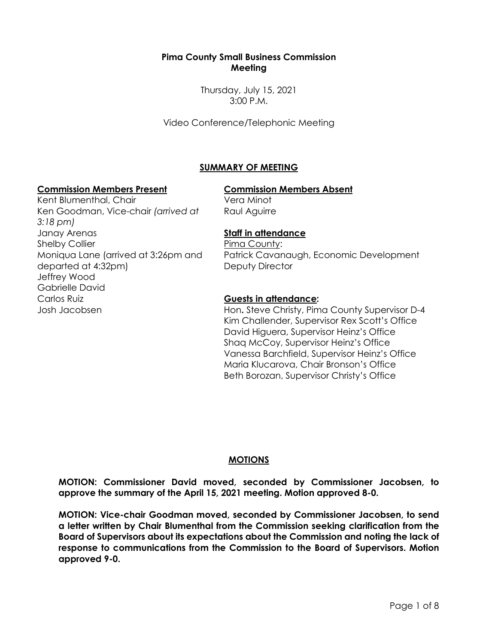## **Pima County Small Business Commission Meeting**

Thursday, July 15, 2021 3:00 P.M.

Video Conference/Telephonic Meeting

# **SUMMARY OF MEETING**

#### **Commission Members Present Commission Members Absent**

Kent Blumenthal, Chair Ken Goodman, Vice-chair *(arrived at 3:18 pm)* Janay Arenas Shelby Collier Moniqua Lane (arrived at 3:26pm and departed at 4:32pm) Jeffrey Wood Gabrielle David Carlos Ruiz Josh Jacobsen

Vera Minot Raul Aguirre

## **Staff in attendance**

Pima County: Patrick Cavanaugh, Economic Development Deputy Director

## **Guests in attendance:**

Hon**.** Steve Christy, Pima County Supervisor D-4 Kim Challender, Supervisor Rex Scott's Office David Higuera, Supervisor Heinz's Office Shaq McCoy, Supervisor Heinz's Office Vanessa Barchfield, Supervisor Heinz's Office Maria Klucarova, Chair Bronson's Office Beth Borozan, Supervisor Christy's Office

## **MOTIONS**

**MOTION: Commissioner David moved, seconded by Commissioner Jacobsen, to approve the summary of the April 15, 2021 meeting. Motion approved 8-0.**

**MOTION: Vice-chair Goodman moved, seconded by Commissioner Jacobsen, to send a letter written by Chair Blumenthal from the Commission seeking clarification from the Board of Supervisors about its expectations about the Commission and noting the lack of response to communications from the Commission to the Board of Supervisors. Motion approved 9-0.**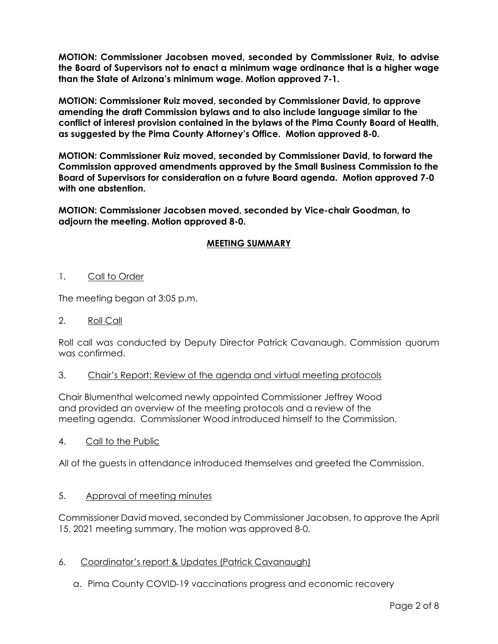**MOTION: Commissioner Jacobsen moved, seconded by Commissioner Ruiz, to advise the Board of Supervisors not to enact a minimum wage ordinance that is a higher wage than the State of Arizona's minimum wage. Motion approved 7-1.**

**MOTION: Commissioner Ruiz moved, seconded by Commissioner David, to approve amending the draft Commission bylaws and to also include language similar to the conflict of interest provision contained in the bylaws of the Pima County Board of Health, as suggested by the Pima County Attorney's Office. Motion approved 8-0.**

**MOTION: Commissioner Ruiz moved, seconded by Commissioner David, to forward the Commission approved amendments approved by the Small Business Commission to the Board of Supervisors for consideration on a future Board agenda. Motion approved 7-0 with one abstention.**

**MOTION: Commissioner Jacobsen moved, seconded by Vice-chair Goodman, to adjourn the meeting. Motion approved 8-0.** 

# **MEETING SUMMARY**

1. Call to Order

The meeting began at 3:05 p.m.

2. Roll Call

Roll call was conducted by Deputy Director Patrick Cavanaugh. Commission quorum was confirmed.

3. Chair's Report: Review of the agenda and virtual meeting protocols

Chair Blumenthal welcomed newly appointed Commissioner Jeffrey Wood and provided an overview of the meeting protocols and a review of the meeting agenda. Commissioner Wood introduced himself to the Commission.

4. Call to the Public

All of the guests in attendance introduced themselves and greeted the Commission.

## 5. Approval of meeting minutes

Commissioner David moved, seconded by Commissioner Jacobsen, to approve the April 15, 2021 meeting summary. The motion was approved 8-0.

- 6. Coordinator's report & Updates (Patrick Cavanaugh)
	- a. Pima County COVID-19 vaccinations progress and economic recovery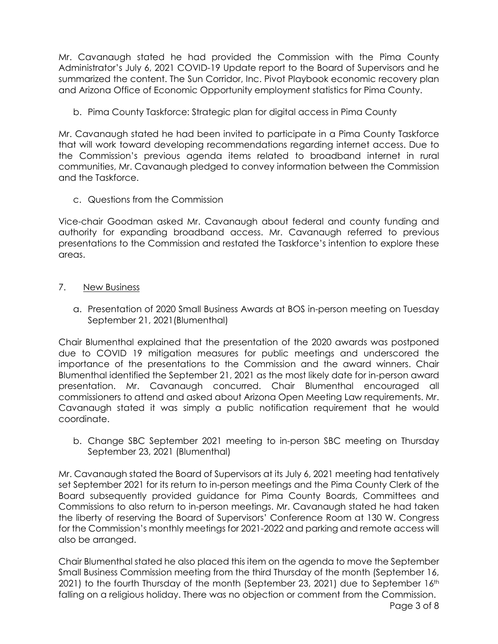Mr. Cavanaugh stated he had provided the Commission with the Pima County Administrator's July 6, 2021 COVID-19 Update report to the Board of Supervisors and he summarized the content. The Sun Corridor, Inc. Pivot Playbook economic recovery plan and Arizona Office of Economic Opportunity employment statistics for Pima County.

b. Pima County Taskforce: Strategic plan for digital access in Pima County

Mr. Cavanaugh stated he had been invited to participate in a Pima County Taskforce that will work toward developing recommendations regarding internet access. Due to the Commission's previous agenda items related to broadband internet in rural communities, Mr. Cavanaugh pledged to convey information between the Commission and the Taskforce.

c. Questions from the Commission

Vice-chair Goodman asked Mr. Cavanaugh about federal and county funding and authority for expanding broadband access. Mr. Cavanaugh referred to previous presentations to the Commission and restated the Taskforce's intention to explore these areas.

- 7. New Business
	- a. Presentation of 2020 Small Business Awards at BOS in-person meeting on Tuesday September 21, 2021(Blumenthal)

Chair Blumenthal explained that the presentation of the 2020 awards was postponed due to COVID 19 mitigation measures for public meetings and underscored the importance of the presentations to the Commission and the award winners. Chair Blumenthal identified the September 21, 2021 as the most likely date for in-person award presentation. Mr. Cavanaugh concurred. Chair Blumenthal encouraged all commissioners to attend and asked about Arizona Open Meeting Law requirements. Mr. Cavanaugh stated it was simply a public notification requirement that he would coordinate.

b. Change SBC September 2021 meeting to in-person SBC meeting on Thursday September 23, 2021 (Blumenthal)

Mr. Cavanaugh stated the Board of Supervisors at its July 6, 2021 meeting had tentatively set September 2021 for its return to in-person meetings and the Pima County Clerk of the Board subsequently provided guidance for Pima County Boards, Committees and Commissions to also return to in-person meetings. Mr. Cavanaugh stated he had taken the liberty of reserving the Board of Supervisors' Conference Room at 130 W. Congress for the Commission's monthly meetings for 2021-2022 and parking and remote access will also be arranged.

Chair Blumenthal stated he also placed this item on the agenda to move the September Small Business Commission meeting from the third Thursday of the month (September 16, 2021) to the fourth Thursday of the month (September 23, 2021) due to September 16<sup>th</sup> falling on a religious holiday. There was no objection or comment from the Commission.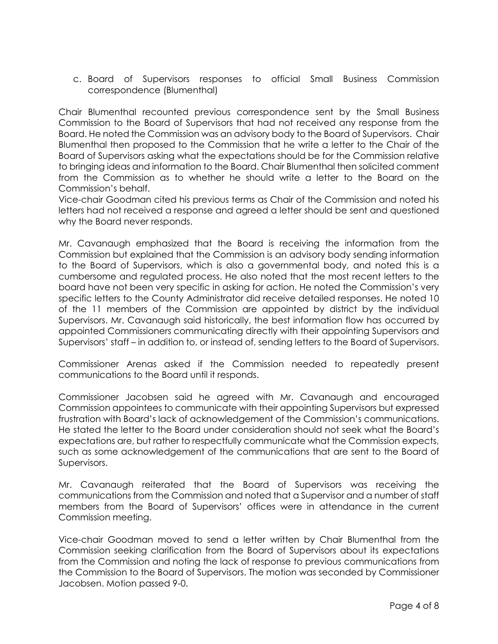c. Board of Supervisors responses to official Small Business Commission correspondence (Blumenthal)

Chair Blumenthal recounted previous correspondence sent by the Small Business Commission to the Board of Supervisors that had not received any response from the Board. He noted the Commission was an advisory body to the Board of Supervisors. Chair Blumenthal then proposed to the Commission that he write a letter to the Chair of the Board of Supervisors asking what the expectations should be for the Commission relative to bringing ideas and information to the Board. Chair Blumenthal then solicited comment from the Commission as to whether he should write a letter to the Board on the Commission's behalf.

Vice-chair Goodman cited his previous terms as Chair of the Commission and noted his letters had not received a response and agreed a letter should be sent and questioned why the Board never responds.

Mr. Cavanaugh emphasized that the Board is receiving the information from the Commission but explained that the Commission is an advisory body sending information to the Board of Supervisors, which is also a governmental body, and noted this is a cumbersome and regulated process. He also noted that the most recent letters to the board have not been very specific in asking for action. He noted the Commission's very specific letters to the County Administrator did receive detailed responses. He noted 10 of the 11 members of the Commission are appointed by district by the individual Supervisors. Mr. Cavanaugh said historically, the best information flow has occurred by appointed Commissioners communicating directly with their appointing Supervisors and Supervisors' staff – in addition to, or instead of, sending letters to the Board of Supervisors.

Commissioner Arenas asked if the Commission needed to repeatedly present communications to the Board until it responds.

Commissioner Jacobsen said he agreed with Mr. Cavanaugh and encouraged Commission appointees to communicate with their appointing Supervisors but expressed frustration with Board's lack of acknowledgement of the Commission's communications. He stated the letter to the Board under consideration should not seek what the Board's expectations are, but rather to respectfully communicate what the Commission expects, such as some acknowledgement of the communications that are sent to the Board of Supervisors.

Mr. Cavanaugh reiterated that the Board of Supervisors was receiving the communications from the Commission and noted that a Supervisor and a number of staff members from the Board of Supervisors' offices were in attendance in the current Commission meeting.

Vice-chair Goodman moved to send a letter written by Chair Blumenthal from the Commission seeking clarification from the Board of Supervisors about its expectations from the Commission and noting the lack of response to previous communications from the Commission to the Board of Supervisors. The motion was seconded by Commissioner Jacobsen. Motion passed 9-0.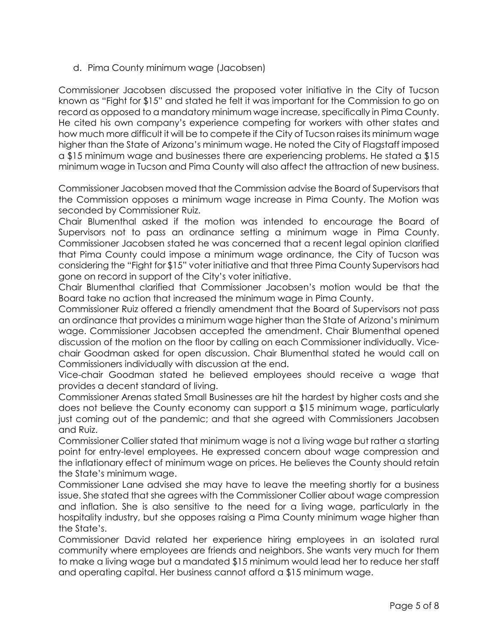d. Pima County minimum wage (Jacobsen)

Commissioner Jacobsen discussed the proposed voter initiative in the City of Tucson known as "Fight for \$15" and stated he felt it was important for the Commission to go on record as opposed to a mandatory minimum wage increase, specifically in Pima County. He cited his own company's experience competing for workers with other states and how much more difficult it will be to compete if the City of Tucson raises its minimum wage higher than the State of Arizona's minimum wage. He noted the City of Flagstaff imposed a \$15 minimum wage and businesses there are experiencing problems. He stated a \$15 minimum wage in Tucson and Pima County will also affect the attraction of new business.

Commissioner Jacobsen moved that the Commission advise the Board of Supervisors that the Commission opposes a minimum wage increase in Pima County. The Motion was seconded by Commissioner Ruiz.

Chair Blumenthal asked if the motion was intended to encourage the Board of Supervisors not to pass an ordinance setting a minimum wage in Pima County. Commissioner Jacobsen stated he was concerned that a recent legal opinion clarified that Pima County could impose a minimum wage ordinance, the City of Tucson was considering the "Fight for \$15" voter initiative and that three Pima County Supervisors had gone on record in support of the City's voter initiative.

Chair Blumenthal clarified that Commissioner Jacobsen's motion would be that the Board take no action that increased the minimum wage in Pima County.

Commissioner Ruiz offered a friendly amendment that the Board of Supervisors not pass an ordinance that provides a minimum wage higher than the State of Arizona's minimum wage. Commissioner Jacobsen accepted the amendment. Chair Blumenthal opened discussion of the motion on the floor by calling on each Commissioner individually. Vicechair Goodman asked for open discussion. Chair Blumenthal stated he would call on Commissioners individually with discussion at the end.

Vice-chair Goodman stated he believed employees should receive a wage that provides a decent standard of living.

Commissioner Arenas stated Small Businesses are hit the hardest by higher costs and she does not believe the County economy can support a \$15 minimum wage, particularly just coming out of the pandemic; and that she agreed with Commissioners Jacobsen and Ruiz.

Commissioner Collier stated that minimum wage is not a living wage but rather a starting point for entry-level employees. He expressed concern about wage compression and the inflationary effect of minimum wage on prices. He believes the County should retain the State's minimum wage.

Commissioner Lane advised she may have to leave the meeting shortly for a business issue. She stated that she agrees with the Commissioner Collier about wage compression and inflation. She is also sensitive to the need for a living wage, particularly in the hospitality industry, but she opposes raising a Pima County minimum wage higher than the State's.

Commissioner David related her experience hiring employees in an isolated rural community where employees are friends and neighbors. She wants very much for them to make a living wage but a mandated \$15 minimum would lead her to reduce her staff and operating capital. Her business cannot afford a \$15 minimum wage.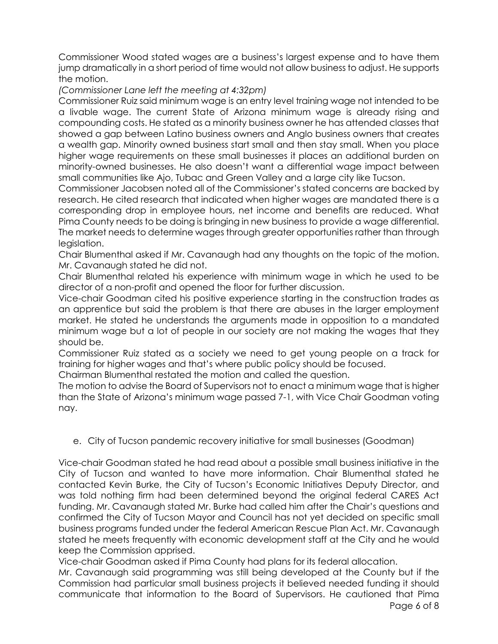Commissioner Wood stated wages are a business's largest expense and to have them jump dramatically in a short period of time would not allow business to adjust. He supports the motion.

*(Commissioner Lane left the meeting at 4:32pm)*

Commissioner Ruiz said minimum wage is an entry level training wage not intended to be a livable wage. The current State of Arizona minimum wage is already rising and compounding costs. He stated as a minority business owner he has attended classes that showed a gap between Latino business owners and Anglo business owners that creates a wealth gap. Minority owned business start small and then stay small. When you place higher wage requirements on these small businesses it places an additional burden on minority-owned businesses. He also doesn't want a differential wage impact between small communities like Ajo, Tubac and Green Valley and a large city like Tucson.

Commissioner Jacobsen noted all of the Commissioner's stated concerns are backed by research. He cited research that indicated when higher wages are mandated there is a corresponding drop in employee hours, net income and benefits are reduced. What Pima County needs to be doing is bringing in new business to provide a wage differential. The market needs to determine wages through greater opportunities rather than through legislation.

Chair Blumenthal asked if Mr. Cavanaugh had any thoughts on the topic of the motion. Mr. Cavanaugh stated he did not.

Chair Blumenthal related his experience with minimum wage in which he used to be director of a non-profit and opened the floor for further discussion.

Vice-chair Goodman cited his positive experience starting in the construction trades as an apprentice but said the problem is that there are abuses in the larger employment market. He stated he understands the arguments made in opposition to a mandated minimum wage but a lot of people in our society are not making the wages that they should be.

Commissioner Ruiz stated as a society we need to get young people on a track for training for higher wages and that's where public policy should be focused.

Chairman Blumenthal restated the motion and called the question.

The motion to advise the Board of Supervisors not to enact a minimum wage that is higher than the State of Arizona's minimum wage passed 7-1, with Vice Chair Goodman voting nay.

# e. City of Tucson pandemic recovery initiative for small businesses (Goodman)

Vice-chair Goodman stated he had read about a possible small business initiative in the City of Tucson and wanted to have more information. Chair Blumenthal stated he contacted Kevin Burke, the City of Tucson's Economic Initiatives Deputy Director, and was told nothing firm had been determined beyond the original federal CARES Act funding. Mr. Cavanaugh stated Mr. Burke had called him after the Chair's questions and confirmed the City of Tucson Mayor and Council has not yet decided on specific small business programs funded under the federal American Rescue Plan Act. Mr. Cavanaugh stated he meets frequently with economic development staff at the City and he would keep the Commission apprised.

Vice-chair Goodman asked if Pima County had plans for its federal allocation.

Page 6 of 8 Mr. Cavanaugh said programming was still being developed at the County but if the Commission had particular small business projects it believed needed funding it should communicate that information to the Board of Supervisors. He cautioned that Pima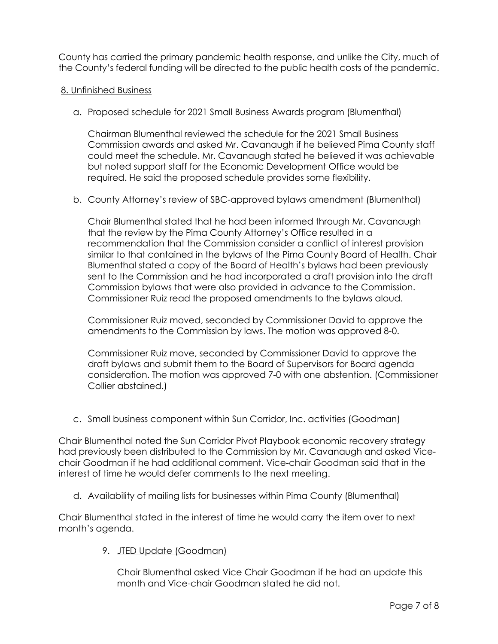County has carried the primary pandemic health response, and unlike the City, much of the County's federal funding will be directed to the public health costs of the pandemic.

## 8. Unfinished Business

a. Proposed schedule for 2021 Small Business Awards program (Blumenthal)

Chairman Blumenthal reviewed the schedule for the 2021 Small Business Commission awards and asked Mr. Cavanaugh if he believed Pima County staff could meet the schedule. Mr. Cavanaugh stated he believed it was achievable but noted support staff for the Economic Development Office would be required. He said the proposed schedule provides some flexibility.

b. County Attorney's review of SBC-approved bylaws amendment (Blumenthal)

Chair Blumenthal stated that he had been informed through Mr. Cavanaugh that the review by the Pima County Attorney's Office resulted in a recommendation that the Commission consider a conflict of interest provision similar to that contained in the bylaws of the Pima County Board of Health. Chair Blumenthal stated a copy of the Board of Health's bylaws had been previously sent to the Commission and he had incorporated a draft provision into the draft Commission bylaws that were also provided in advance to the Commission. Commissioner Ruiz read the proposed amendments to the bylaws aloud.

Commissioner Ruiz moved, seconded by Commissioner David to approve the amendments to the Commission by laws. The motion was approved 8-0.

Commissioner Ruiz move, seconded by Commissioner David to approve the draft bylaws and submit them to the Board of Supervisors for Board agenda consideration. The motion was approved 7-0 with one abstention. (Commissioner Collier abstained.)

c. Small business component within Sun Corridor, Inc. activities (Goodman)

Chair Blumenthal noted the Sun Corridor Pivot Playbook economic recovery strategy had previously been distributed to the Commission by Mr. Cavanaugh and asked Vicechair Goodman if he had additional comment. Vice-chair Goodman said that in the interest of time he would defer comments to the next meeting.

d. Availability of mailing lists for businesses within Pima County (Blumenthal)

Chair Blumenthal stated in the interest of time he would carry the item over to next month's agenda.

9. JTED Update (Goodman)

Chair Blumenthal asked Vice Chair Goodman if he had an update this month and Vice-chair Goodman stated he did not.